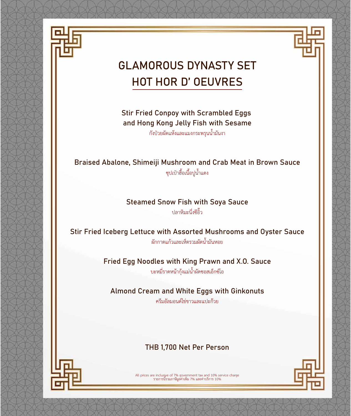



## GLAMOROUS DYNASTY SET HOT HOR D' OEUVRES

Stir Fried Conpoy with Scrambled Eggs and Hong Kong Jelly Fish with Sesame

กังปวยผัดแหงและแมงกระพรุนนํ้ามันงา

Braised Abalone, Shimeiji Mushroom and Crab Meat in Brown Sauce ซุปเปาฮื้อเนื้อปูนํ้าแดง

Steamed Snow Fish with Soya Sauce

ปลาหิมะนึ่งซีอิ๊ว

Stir Fried Iceberg Lettuce with Assorted Mushrooms and Oyster Sauce ผักกาดแกวและเห็ดรวมผัดนํ้ามันหอย

> Fried Egg Noodles with King Prawn and X.O. Sauce บะหมี่ราดหนากุงแมนํ้าผัดซอสเอ็กซโอ

Almond Cream and White Eggs with Ginkonuts

ครีมอัลมอนดไขขาวและแปะกวย

#### THB 1,700 Net Per Person



All prices are inclusive of 7% government tax and 10% service charge รายการนี้รวมภาษีมูลคาเพิ่ม 7% และคาบริการ 10%

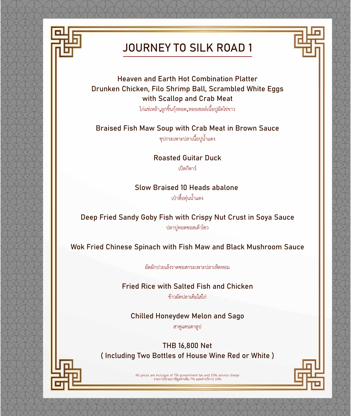

#### JOURNEY TO SILK ROAD 1



Heaven and Earth Hot Combination Platter Drunken Chicken, Filo Shrimp Ball, Scrambled White Eggs with Scallop and Crab Meat

ไกแชเหลา,ลูกชิ้นกุงทอด,หอยเชลลเนื้อปูผัดไขขาว

Braised Fish Maw Soup with Crab Meat in Brown Sauce

ซุปกระเพาะปลาเนื้อปูนํ้าแดง

Roasted Guitar Duck เปดกีตาร

Slow Braised 10 Heads abalone

เปาฮื้อตุนนํ้าแดง

Deep Fried Sandy Goby Fish with Crispy Nut Crust in Soya Sauce ปลาบูทอดซอสเตาโซว

Wok Fried Chinese Spinach with Fish Maw and Black Mushroom Sauce

ผัดผักปวยเลงราดซอสกระเพาะปลาเห็ดหอม

Fried Rice with Salted Fish and Chicken

ขาวผัดปลาเค็มใสไก

Chilled Honeydew Melon and Sago

สาคูแคนตาลูป

THB 16,800 Net ( Including Two Bottles of House Wine Red or White )



All prices are inclusive of 7% government tax and 10% service charge รายการนี้รวมภาษีมูลคาเพิ่ม 7% และคาบริการ 10%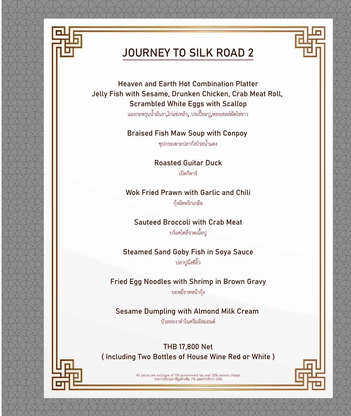

## JOURNEY TO SILK ROAD 2

Heaven and Earth Hot Combination Platter Jelly Fish with Sesame, Drunken Chicken, Crab Meat Roll, Scrambled White Eggs with Scallop

แมงกะพรุนนํ้ามันงา,ไกแชเหลา, ปอเปยะปู,หอยเชลลผัดไขขาว

Braised Fish Maw Soup with Conpoy

ซุปกระเพาะปลากังปวยนํ้าแดง

Roasted Guitar Duck เปดกีตาร

Wok Fried Prawn with Garlic and Chili กุงผัดพริกเกลือ

Sauteed Broccoli with Crab Meat บร็อคโคลี่ราดเนื้อปู

Steamed Sand Goby Fish in Soya Sauce ปลาบูนึ่งซีอิ๊ว

Fried Egg Noodles with Shrimp in Brown Gravy บะหมี่ราดหนากุง

Sesame Dumpling with Almond Milk Cream

บัวลอยงาดําในครีมอัลมอนด

THB 17,800 Net ( Including Two Bottles of House Wine Red or White )



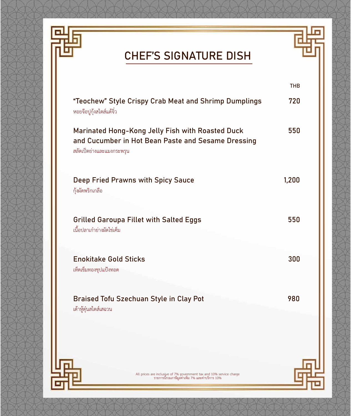

## CHEF'S SIGNATURE DISH

|                                                                                                                                     | <b>THB</b> |
|-------------------------------------------------------------------------------------------------------------------------------------|------------|
| "Teochew" Style Crispy Crab Meat and Shrimp Dumplings<br>หอยจ๊อปูกุ้งสไตส์แต้จิ๋ว                                                   | 720        |
| Marinated Hong-Kong Jelly Fish with Roasted Duck<br>and Cucumber in Hot Bean Paste and Sesame Dressing<br>สลัดเป็ดย่างและแมงกระพรุน | 550        |
| Deep Fried Prawns with Spicy Sauce<br>กุ้งผัดพริกเกลือ                                                                              | 1,200      |
| <b>Grilled Garoupa Fillet with Salted Eggs</b><br>เนื้อปลาเก๋าย่างผัดไข่เค็ม                                                        | 550        |
| <b>Enokitake Gold Sticks</b><br>เห็ดเข็มทองชุปแป้งทอด                                                                               | 300        |
| Braised Tofu Szechuan Style in Clay Pot<br>เต้าหู้ตุ๋นสไตส์เสฉวน                                                                    | 980        |
|                                                                                                                                     |            |
| All prices are inclusive of 7% government tax and 10% service charge<br>รายการนี้รวมภาษีมูลค่าเพิ่ม 7% และค่าบริการ 10%             |            |

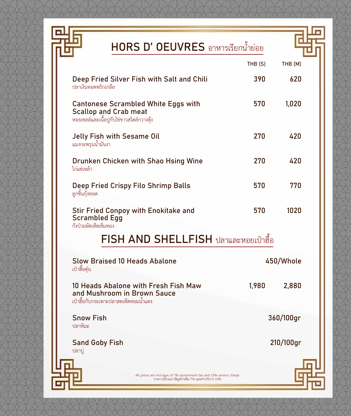

回

## HORS D' OEUVRES อาหารเรียกน้ำย่อย



|                                                                                                                           | THB(S) | THB (M)   |
|---------------------------------------------------------------------------------------------------------------------------|--------|-----------|
| Deep Fried Silver Fish with Salt and Chili<br>ปลาเงินทอดพริกเกลือ                                                         | 390    | 620       |
| <b>Cantonese Scrambled White Eggs with</b><br><b>Scallop and Crab meat</b><br>หอยเซลล์และเนื้อปูกับไข่ขาวสไตล์กวางตุ้ง    | 570    | 1,020     |
| <b>Jelly Fish with Sesame Oil</b><br>แมงกะพรุนน้ำมันงา                                                                    | 270    | 420       |
| Drunken Chicken with Shao Hsing Wine<br>ไก่แช่เหล้า                                                                       | 270    | 420       |
| <b>Deep Fried Crispy Filo Shrimp Balls</b><br>ลูกชิ้นกุ้งทอด                                                              | 570    | 770       |
| <b>Stir Fried Conpoy with Enokitake and</b><br><b>Scrambled Egg</b><br>กังป่วยผัดเห็ดเข็มทอง                              | 570    | 1020      |
| FISH AND SHELLFISH ปลาและหอยเป๋าฮื้อ                                                                                      |        |           |
| <b>Slow Braised 10 Heads Abalone</b><br>เป๋าฮื้อตุ๋น                                                                      |        | 450/Whole |
| 10 Heads Abalone with Fresh Fish Maw<br>and Mushroom in Brown Sauce<br>เป๋าฮื้อกับกระเพาะปลาสดเห็ดหอมน้ำแดง               | 1,980  | 2,880     |
| <b>Snow Fish</b><br>ปลาหิมะ                                                                                               |        | 360/100gr |
| <b>Sand Goby Fish</b><br>ู้ปลาบู่                                                                                         |        | 210/100gr |
| All prices are inclusive of 7% government tax and 10% service charge<br>ี รายการนี้รวมภาษีมูลค่าเพิ่ม 7% และค่าบริการ 10% |        |           |
|                                                                                                                           |        |           |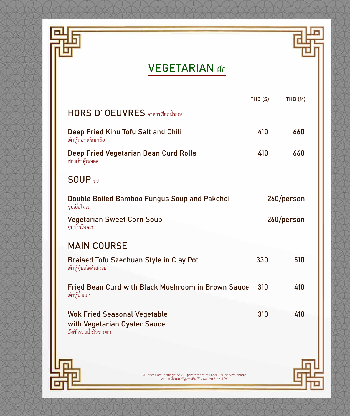



|                                                                                                                         | THB (S) | THB (M)    |
|-------------------------------------------------------------------------------------------------------------------------|---------|------------|
| HORS D' OEUVRES อาหารเรียกน้ำย่อย                                                                                       |         |            |
| Deep Fried Kinu Tofu Salt and Chili<br>เต้าหู้ทอดพริกเกลือ                                                              | 410     | 660        |
| Deep Fried Vegetarian Bean Curd Rolls<br>ฟองเต้าหู้เจทอด                                                                | 410     | 660        |
| SOUP <sub>ซูป</sub>                                                                                                     |         |            |
| Double Boiled Bamboo Fungus Soup and Pakchoi<br>ซุปเยื่อไผ่เจ                                                           |         | 260/person |
| <b>Vegetarian Sweet Corn Soup</b><br>ซุปข้าวโพดเจ                                                                       |         | 260/person |
| <b>MAIN COURSE</b>                                                                                                      |         |            |
| <b>Braised Tofu Szechuan Style in Clay Pot</b><br>เต้าหู้ตุ๋นสไตส์เสฉวน                                                 | 330     | 510        |
| Fried Bean Curd with Black Mushroom in Brown Sauce<br>เต้าหู้น้ำแดง                                                     | 310     | 410        |
| <b>Wok Fried Seasonal Vegetable</b><br>with Vegetarian Oyster Sauce<br>ผัดผักรวมน้ำมันหอยเจ                             | 310     | 410        |
| All prices are inclusive of 7% government tax and 10% service charge<br>รายการนี้รวมภาษีมูลค่าเพิ่ม 7% และค่าบริการ 10% |         |            |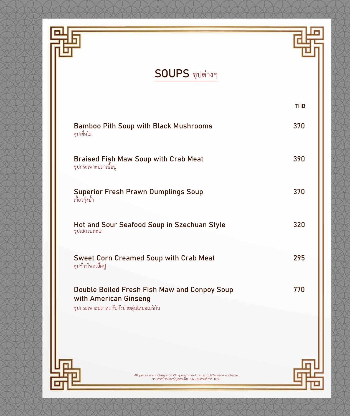

## SOUPS ซุปตางๆ

| Double Boiled Fresh Fish Maw and Conpoy Soup<br>with American Ginseng<br>ซุปกระเพาะปลาสดกับกังป๋วยตุ๋นโสมอเมริกัน | 770        |
|-------------------------------------------------------------------------------------------------------------------|------------|
| <b>Sweet Corn Creamed Soup with Crab Meat</b><br>ซุปข้าวโพดเนื้อปู                                                | 295        |
| Hot and Sour Seafood Soup in Szechuan Style<br>ซุปเสฉวนทะเล                                                       | 320        |
| <b>Superior Fresh Prawn Dumplings Soup</b><br>เกี้ยวกุ้งน้ำ                                                       | 370        |
| <b>Braised Fish Maw Soup with Crab Meat</b><br>ซุปกระเพาะปลาเนื้อปู                                               | 390        |
| <b>Bamboo Pith Soup with Black Mushrooms</b><br>ซุปเยื่อไผ่                                                       | 370        |
|                                                                                                                   | <b>THB</b> |

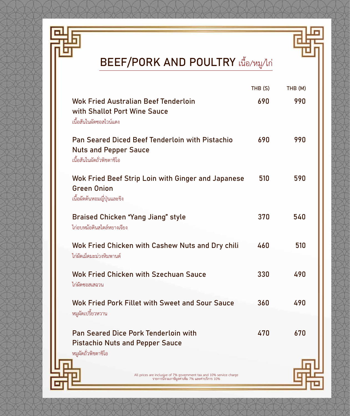

E

# BEEF/PORK AND POULTRY เนื้อ/หมู/ไก

|                                                                                                                         | THB (S) | THB (M) |
|-------------------------------------------------------------------------------------------------------------------------|---------|---------|
| Wok Fried Australian Beef Tenderloin<br>with Shallot Port Wine Sauce<br>เนื้อสันในผัดซอสไวน์แดง                         | 690     | 990     |
| <b>Pan Seared Diced Beef Tenderloin with Pistachio</b><br><b>Nuts and Pepper Sauce</b><br>เนื้อสันในผัดถั่วพิชตาชิโอ    | 690     | 990     |
| Wok Fried Beef Strip Loin with Ginger and Japanese<br><b>Green Onion</b><br>เนื้อผัดต้นหอมญี่ปุ่นและขิง                 | 510     | 590     |
| <b>Braised Chicken "Yang Jiang" style</b><br>ไก่อบหม้อดินสไตล์หยางเจียง                                                 | 370     | 540     |
| Wok Fried Chicken with Cashew Nuts and Dry chili<br>ไก่ผัดเม็ดมะม่วงหิมพานต์                                            | 460     | 510     |
| <b>Wok Fried Chicken with Szechuan Sauce</b><br>ไก่ผัดซอสเสฉวน                                                          | 330     | 490     |
| Wok Fried Pork Fillet with Sweet and Sour Sauce<br>หมูผัดเปรี้ยวหวาน                                                    | 360     | 490     |
| <b>Pan Seared Dice Pork Tenderloin with</b><br><b>Pistachio Nuts and Pepper Sauce</b><br>หมูผัดถั่วพิชตาชิโอ            | 470     | 670     |
| All prices are inclusive of 7% government tax and 10% service charge<br>รายการนี้รวมภาษีมูลค่าเพิ่ม 7% และค่าบริการ 10% |         |         |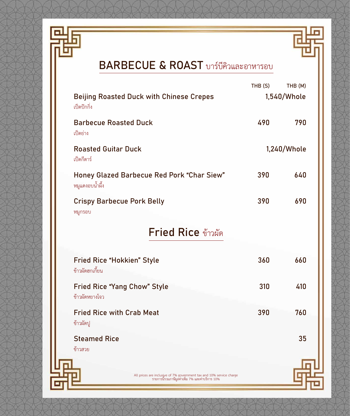



## BARBECUE & ROAST บารบีคิวและอาหารอบ

|                                                                                                                         | THB (S) | THB (M)     |
|-------------------------------------------------------------------------------------------------------------------------|---------|-------------|
| <b>Beijing Roasted Duck with Chinese Crepes</b><br>เป็ดปักกิ่ง                                                          |         | 1,540/Whole |
| <b>Barbecue Roasted Duck</b><br>เป็ดย่าง                                                                                | 490     | 790         |
| <b>Roasted Guitar Duck</b><br>เป็ดกีตาร์                                                                                |         | 1,240/Whole |
| <b>Honey Glazed Barbecue Red Pork "Char Siew"</b><br>หมูแดงอบน้ำผึ้ง                                                    | 390     | 640         |
| <b>Crispy Barbecue Pork Belly</b><br>หมูกรอบ                                                                            | 390     | 690         |
| Fried Rice ข้าวผัด                                                                                                      |         |             |
| <b>Fried Rice "Hokkien" Style</b><br>ข้าวผัดฮกเกี้ยน                                                                    | 360     | 660         |
| <b>Fried Rice "Yang Chow" Style</b><br>ข้าวผัดหยางโจว                                                                   | 310     | 410         |
| <b>Fried Rice with Crab Meat</b><br>ข้าวผัดปู                                                                           | 390     | 760         |
| <b>Steamed Rice</b><br>ข้าวสวย                                                                                          |         | 35          |
| All prices are inclusive of 7% government tax and 10% service charge<br>รายการนี้รวมภาษีมูลค่าเพิ่ม 7% และค่าบริการ 10% |         |             |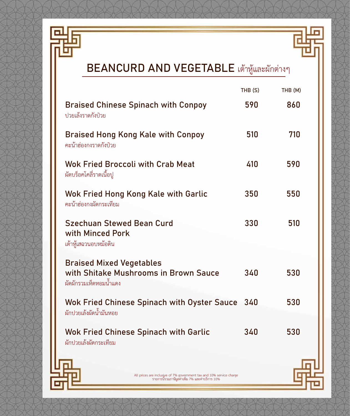

Eı



|                                                                                                                         | THB (S) | THB (M) |
|-------------------------------------------------------------------------------------------------------------------------|---------|---------|
| <b>Braised Chinese Spinach with Conpoy</b><br>ปวยเล้งราดกังป่วย                                                         | 590     | 860     |
| <b>Braised Hong Kong Kale with Conpoy</b><br>คะน้าฮ่องกงราดกังป่วย                                                      | 510     | 710     |
| <b>Wok Fried Broccoli with Crab Meat</b><br>ผัดบร็อคโคลี่ราดเนื้อปู                                                     | 410     | 590     |
| Wok Fried Hong Kong Kale with Garlic<br>คะน้าฮ่องกงผัดกระเทียม                                                          | 350     | 550     |
| <b>Szechuan Stewed Bean Curd</b><br>with Minced Pork<br>เต้าหู้เสฉวนอบหม้อดิน                                           | 330     | 510     |
| <b>Braised Mixed Vegetables</b><br>with Shitake Mushrooms in Brown Sauce<br>ผัดผักรวมเห็ดหอมน้ำแดง                      | 340     | 530     |
| <b>Wok Fried Chinese Spinach with Oyster Sauce</b><br>ผักปวยเล้งผัดน้ำมันหอย                                            | 340     | 530     |
| <b>Wok Fried Chinese Spinach with Garlic</b><br>ผักปวยเล้งผัดกระเทียม                                                   | 340     | 530     |
| All prices are inclusive of 7% government tax and 10% service charge<br>รายการนี้รวมภาษีมูลค่าเพิ่ม 7% และค่าบริการ 10% |         |         |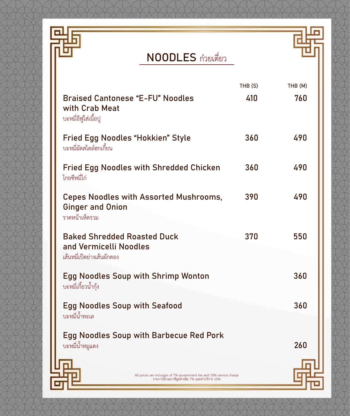

## NOODLES กวยเตี๋ยว

|                                                                                                                         | THB(S) | THB (M) |
|-------------------------------------------------------------------------------------------------------------------------|--------|---------|
| <b>Braised Cantonese "E-FU" Noodles</b><br>with Crab Meat<br>บะหมี่อีฟูใส่เนื้อปู                                       | 410    | 760     |
| Fried Egg Noodles "Hokkien" Style<br>บะหมี่ผัดสไตล์ฮกเกี้ยน                                                             | 360    | 490     |
| <b>Fried Egg Noodles with Shredded Chicken</b><br>โกยซีหมี่ไก่                                                          | 360    | 490     |
| <b>Cepes Noodles with Assorted Mushrooms,</b><br><b>Ginger and Onion</b><br>ราดหน้าเห็ดรวม                              | 390    | 490     |
| <b>Baked Shredded Roasted Duck</b><br>and Vermicelli Noodles<br>เส้นหมี่เป็ดย่างเส้นผักดอง                              | 370    | 550     |
| <b>Egg Noodles Soup with Shrimp Wonton</b><br>บะหมี่เกี้ยวน้ำกุ้ง                                                       |        | 360     |
| <b>Egg Noodles Soup with Seafood</b><br>บะหมี่น้ำทะเล                                                                   |        | 360     |
| <b>Egg Noodles Soup with Barbecue Red Pork</b><br>บะหมี่น้ำหมูแดง                                                       |        | 260     |
| All prices are inclusive of 7% government tax and 10% service charge<br>รายการนี้รวมภาษีมูลค่าเพิ่ม 7% และค่าบริการ 10% |        |         |